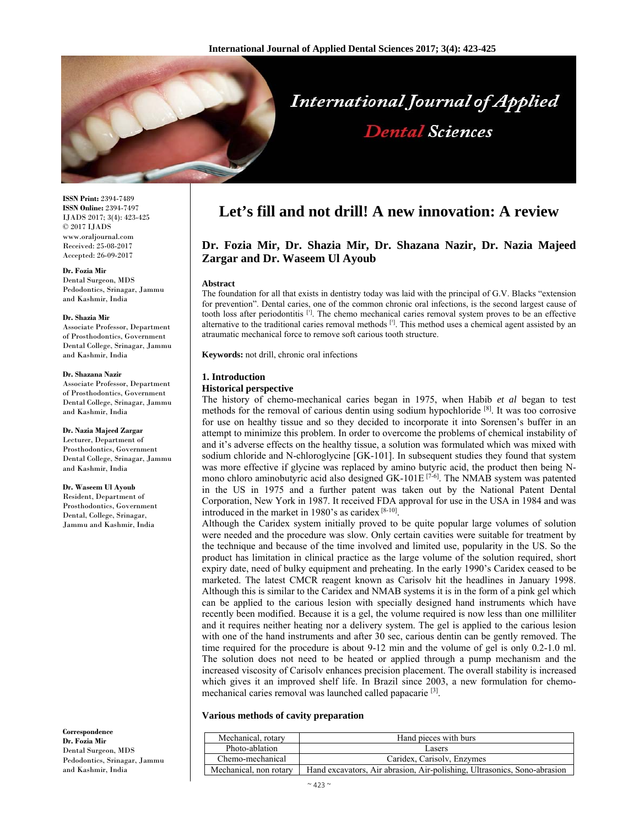

# **International Journal of Applied Dental Sciences**

**ISSN Print:** 2394-7489 **ISSN Online:** 2394-7497 IJADS 2017; 3(4): 423-425 © 2017 IJADS www.oraljournal.com Received: 25-08-2017 Accepted: 26-09-2017

#### **Dr. Fozia Mir**

Dental Surgeon, MDS Pedodontics, Srinagar, Jammu and Kashmir, India

#### **Dr. Shazia Mir**

Associate Professor, Department of Prosthodontics, Government Dental College, Srinagar, Jammu and Kashmir, India

#### **Dr. Shazana Nazir**

Associate Professor, Department of Prosthodontics, Government Dental College, Srinagar, Jammu and Kashmir, India

#### **Dr. Nazia Majeed Zargar**

Lecturer, Department of Prosthodontics, Government Dental College, Srinagar, Jammu and Kashmir, India

#### **Dr. Waseem Ul Ayoub**

Resident, Department of Prosthodontics, Government Dental, College, Srinagar, Jammu and Kashmir, India

**Correspondence Dr. Fozia Mir**  Dental Surgeon, MDS Pedodontics, Srinagar, Jammu and Kashmir, India

# **Let's fill and not drill! A new innovation: A review**

# **Dr. Fozia Mir, Dr. Shazia Mir, Dr. Shazana Nazir, Dr. Nazia Majeed Zargar and Dr. Waseem Ul Ayoub**

#### **Abstract**

The foundation for all that exists in dentistry today was laid with the principal of G.V. Blacks "extension for prevention". Dental caries, one of the common chronic oral infections, is the second largest cause of tooth loss after periodontitis  $[1]$ . The chemo mechanical caries removal system proves to be an effective alternative to the traditional caries removal methods  $[{}^{7}]$ . This method uses a chemical agent assisted by an atraumatic mechanical force to remove soft carious tooth structure.

**Keywords:** not drill, chronic oral infections

#### **1. Introduction**

#### **Historical perspective**

The history of chemo-mechanical caries began in 1975, when Habib *et al* began to test methods for the removal of carious dentin using sodium hypochloride  $[8]$ . It was too corrosive for use on healthy tissue and so they decided to incorporate it into Sorensen's buffer in an attempt to minimize this problem. In order to overcome the problems of chemical instability of and it's adverse effects on the healthy tissue, a solution was formulated which was mixed with sodium chloride and N-chloroglycine [GK-101]. In subsequent studies they found that system was more effective if glycine was replaced by amino butyric acid, the product then being Nmono chloro aminobutyric acid also designed  $GK-101E$ <sup>[7-6]</sup>. The NMAB system was patented in the US in 1975 and a further patent was taken out by the National Patent Dental Corporation, New York in 1987. It received FDA approval for use in the USA in 1984 and was introduced in the market in 1980's as caridex  $[8-10]$ .

Although the Caridex system initially proved to be quite popular large volumes of solution were needed and the procedure was slow. Only certain cavities were suitable for treatment by the technique and because of the time involved and limited use, popularity in the US. So the product has limitation in clinical practice as the large volume of the solution required, short expiry date, need of bulky equipment and preheating. In the early 1990's Caridex ceased to be marketed. The latest CMCR reagent known as Carisolv hit the headlines in January 1998. Although this is similar to the Caridex and NMAB systems it is in the form of a pink gel which can be applied to the carious lesion with specially designed hand instruments which have recently been modified. Because it is a gel, the volume required is now less than one milliliter and it requires neither heating nor a delivery system. The gel is applied to the carious lesion with one of the hand instruments and after 30 sec, carious dentin can be gently removed. The time required for the procedure is about 9-12 min and the volume of gel is only 0.2-1.0 ml. The solution does not need to be heated or applied through a pump mechanism and the increased viscosity of Carisolv enhances precision placement. The overall stability is increased which gives it an improved shelf life. In Brazil since 2003, a new formulation for chemomechanical caries removal was launched called papacarie [3].

#### **Various methods of cavity preparation**

| Mechanical, rotary     | Hand pieces with burs                                                    |
|------------------------|--------------------------------------------------------------------------|
| Photo-ablation         | Lasers                                                                   |
| Chemo-mechanical       | Caridex, Carisoly, Enzymes                                               |
| Mechanical, non rotary | Hand excavators, Air abrasion, Air-polishing, Ultrasonics, Sono-abrasion |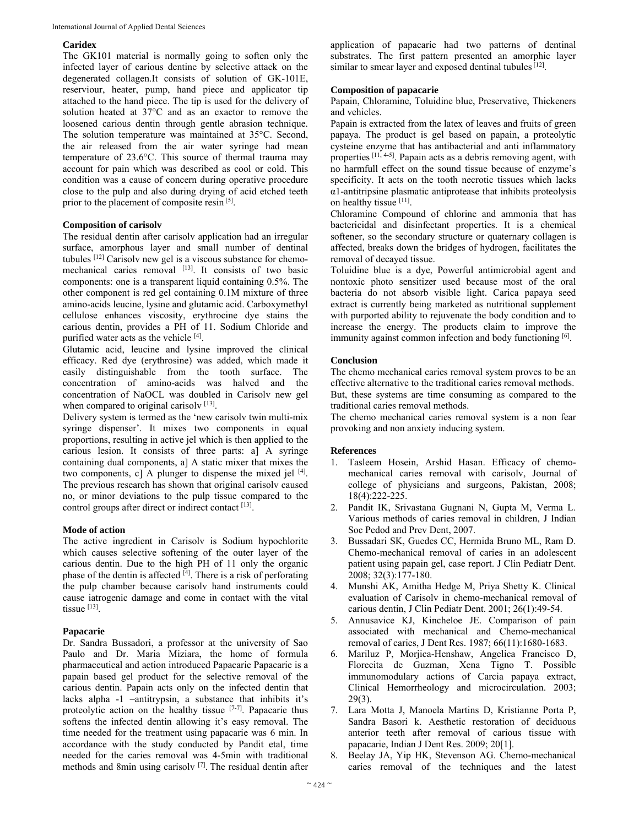### **Caridex**

The GK101 material is normally going to soften only the infected layer of carious dentine by selective attack on the degenerated collagen.It consists of solution of GK-101E, reserviour, heater, pump, hand piece and applicator tip attached to the hand piece. The tip is used for the delivery of solution heated at 37°C and as an exactor to remove the loosened carious dentin through gentle abrasion technique. The solution temperature was maintained at 35°C. Second, the air released from the air water syringe had mean temperature of 23.6°C. This source of thermal trauma may account for pain which was described as cool or cold. This condition was a cause of concern during operative procedure close to the pulp and also during drying of acid etched teeth prior to the placement of composite resin [5].

#### **Composition of carisolv**

The residual dentin after carisolv application had an irregular surface, amorphous layer and small number of dentinal tubules [12] Carisolv new gel is a viscous substance for chemomechanical caries removal [13]. It consists of two basic components: one is a transparent liquid containing 0.5%. The other component is red gel containing 0.1M mixture of three amino-acids leucine, lysine and glutamic acid. Carboxymethyl cellulose enhances viscosity, erythrocine dye stains the carious dentin, provides a PH of 11. Sodium Chloride and purified water acts as the vehicle [4].

Glutamic acid, leucine and lysine improved the clinical efficacy. Red dye (erythrosine) was added, which made it easily distinguishable from the tooth surface. The concentration of amino-acids was halved and the concentration of NaOCL was doubled in Carisolv new gel when compared to original carisolv [13].

Delivery system is termed as the 'new carisolv twin multi-mix syringe dispenser'. It mixes two components in equal proportions, resulting in active jel which is then applied to the carious lesion. It consists of three parts: a] A syringe containing dual components, a] A static mixer that mixes the two components, c] A plunger to dispense the mixed jel  $[4]$ . The previous research has shown that original carisolv caused no, or minor deviations to the pulp tissue compared to the control groups after direct or indirect contact [13].

# **Mode of action**

The active ingredient in Carisolv is Sodium hypochlorite which causes selective softening of the outer layer of the carious dentin. Due to the high PH of 11 only the organic phase of the dentin is affected  $\left[\frac{4}{1}\right]$ . There is a risk of perforating the pulp chamber because carisolv hand instruments could cause iatrogenic damage and come in contact with the vital tissue [13].

# **Papacarie**

Dr. Sandra Bussadori, a professor at the university of Sao Paulo and Dr. Maria Miziara, the home of formula pharmaceutical and action introduced Papacarie Papacarie is a papain based gel product for the selective removal of the carious dentin. Papain acts only on the infected dentin that lacks alpha -1 –antitrypsin, a substance that inhibits it's proteolytic action on the healthy tissue  $[7-7]$ . Papacarie thus softens the infected dentin allowing it's easy removal. The time needed for the treatment using papacarie was 6 min. In accordance with the study conducted by Pandit etal, time needed for the caries removal was 4-5min with traditional methods and 8min using carisolv [7]. The residual dentin after

application of papacarie had two patterns of dentinal substrates. The first pattern presented an amorphic layer similar to smear layer and exposed dentinal tubules [12].

### **Composition of papacarie**

Papain, Chloramine, Toluidine blue, Preservative, Thickeners and vehicles.

Papain is extracted from the latex of leaves and fruits of green papaya. The product is gel based on papain, a proteolytic cysteine enzyme that has antibacterial and anti inflammatory properties [11, 4-5]. Papain acts as a debris removing agent, with no harmfull effect on the sound tissue because of enzyme's specificity. It acts on the tooth necrotic tissues which lacks α1-antitripsine plasmatic antiprotease that inhibits proteolysis on healthy tissue [11].

Chloramine Compound of chlorine and ammonia that has bactericidal and disinfectant properties. It is a chemical softener, so the secondary structure or quaternary collagen is affected, breaks down the bridges of hydrogen, facilitates the removal of decayed tissue.

Toluidine blue is a dye, Powerful antimicrobial agent and nontoxic photo sensitizer used because most of the oral bacteria do not absorb visible light. Carica papaya seed extract is currently being marketed as nutritional supplement with purported ability to rejuvenate the body condition and to increase the energy. The products claim to improve the immunity against common infection and body functioning [6].

#### **Conclusion**

The chemo mechanical caries removal system proves to be an effective alternative to the traditional caries removal methods. But, these systems are time consuming as compared to the traditional caries removal methods.

The chemo mechanical caries removal system is a non fear provoking and non anxiety inducing system.

# **References**

- 1. Tasleem Hosein, Arshid Hasan. Efficacy of chemomechanical caries removal with carisolv, Journal of college of physicians and surgeons, Pakistan, 2008; 18(4):222-225.
- 2. Pandit IK, Srivastana Gugnani N, Gupta M, Verma L. Various methods of caries removal in children, J Indian Soc Pedod and Prev Dent, 2007.
- 3. Bussadari SK, Guedes CC, Hermida Bruno ML, Ram D. Chemo-mechanical removal of caries in an adolescent patient using papain gel, case report. J Clin Pediatr Dent. 2008; 32(3):177-180.
- 4. Munshi AK, Amitha Hedge M, Priya Shetty K. Clinical evaluation of Carisolv in chemo-mechanical removal of carious dentin, J Clin Pediatr Dent. 2001; 26(1):49-54.
- 5. Annusavice KJ, Kincheloe JE. Comparison of pain associated with mechanical and Chemo-mechanical removal of caries, J Dent Res. 1987; 66(11):1680-1683.
- 6. Mariluz P, Morjica-Henshaw, Angelica Francisco D, Florecita de Guzman, Xena Tigno T. Possible immunomodulary actions of Carcia papaya extract, Clinical Hemorrheology and microcirculation. 2003; 29(3).
- 7. Lara Motta J, Manoela Martins D, Kristianne Porta P, Sandra Basori k. Aesthetic restoration of deciduous anterior teeth after removal of carious tissue with papacarie, Indian J Dent Res. 2009; 20[1].
- 8. Beelay JA, Yip HK, Stevenson AG. Chemo-mechanical caries removal of the techniques and the latest